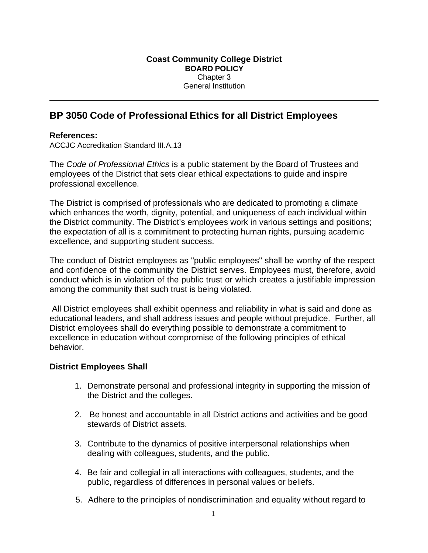# **BP 3050 Code of Professional Ethics for all District Employees**

### **References:**

ACCJC Accreditation Standard III.A.13

The *Code of Professional Ethics* is a public statement by the Board of Trustees and employees of the District that sets clear ethical expectations to guide and inspire professional excellence.

The District is comprised of professionals who are dedicated to promoting a climate which enhances the worth, dignity, potential, and uniqueness of each individual within the District community. The District's employees work in various settings and positions; the expectation of all is a commitment to protecting human rights, pursuing academic excellence, and supporting student success.

The conduct of District employees as "public employees" shall be worthy of the respect and confidence of the community the District serves. Employees must, therefore, avoid conduct which is in violation of the public trust or which creates a justifiable impression among the community that such trust is being violated.

All District employees shall exhibit openness and reliability in what is said and done as educational leaders, and shall address issues and people without prejudice. Further, all District employees shall do everything possible to demonstrate a commitment to excellence in education without compromise of the following principles of ethical behavior.

### **District Employees Shall**

- 1. Demonstrate personal and professional integrity in supporting the mission of the District and the colleges.
- 2. Be honest and accountable in all District actions and activities and be good stewards of District assets.
- 3. Contribute to the dynamics of positive interpersonal relationships when dealing with colleagues, students, and the public.
- 4. Be fair and collegial in all interactions with colleagues, students, and the public, regardless of differences in personal values or beliefs.
- 5. Adhere to the principles of nondiscrimination and equality without regard to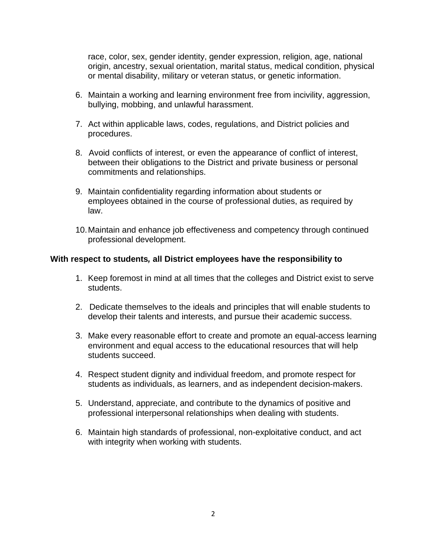race, color, sex, gender identity, gender expression, religion, age, national origin, ancestry, sexual orientation, marital status, medical condition, physical or mental disability, military or veteran status, or genetic information.

- 6. Maintain a working and learning environment free from incivility, aggression, bullying, mobbing, and unlawful harassment.
- 7. Act within applicable laws, codes, regulations, and District policies and procedures.
- 8. Avoid conflicts of interest, or even the appearance of conflict of interest, between their obligations to the District and private business or personal commitments and relationships.
- 9. Maintain confidentiality regarding information about students or employees obtained in the course of professional duties, as required by law.
- 10. Maintain and enhance job effectiveness and competency through continued professional development.

#### **With respect to students***,* **all District employees have the responsibility to**

- 1. Keep foremost in mind at all times that the colleges and District exist to serve students.
- 2. Dedicate themselves to the ideals and principles that will enable students to develop their talents and interests, and pursue their academic success.
- 3. Make every reasonable effort to create and promote an equal-access learning environment and equal access to the educational resources that will help students succeed.
- 4. Respect student dignity and individual freedom, and promote respect for students as individuals, as learners, and as independent decision-makers.
- 5. Understand, appreciate, and contribute to the dynamics of positive and professional interpersonal relationships when dealing with students.
- 6. Maintain high standards of professional, non-exploitative conduct, and act with integrity when working with students.